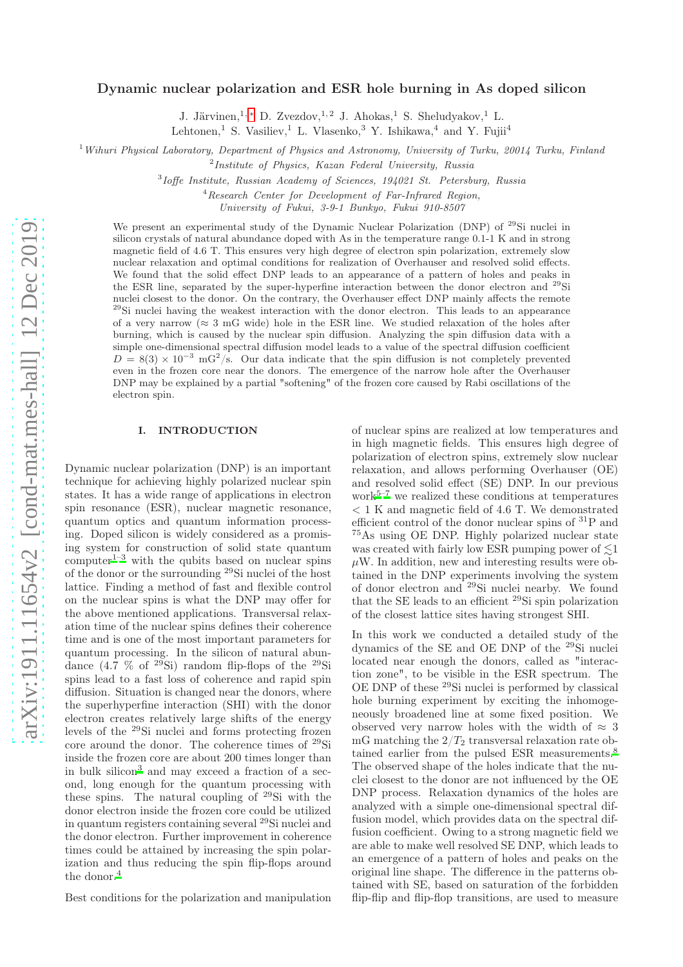# Dynamic nuclear polarization and ESR hole burning in As doped silicon

J. Järvinen,<sup>1, [∗](#page-9-0)</sup> D. Zvezdov,<sup>1,2</sup> J. Ahokas,<sup>1</sup> S. Sheludyakov,<sup>1</sup> L. Lehtonen,<sup>1</sup> S. Vasiliev,<sup>1</sup> L. Vlasenko,<sup>3</sup> Y. Ishikawa,<sup>4</sup> and Y. Fujii<sup>4</sup>

<sup>1</sup> Wihuri Physical Laboratory, Department of Physics and Astronomy, University of Turku, 20014 Turku, Finland

<sup>2</sup>Institute of Physics, Kazan Federal University, Russia

3 Ioffe Institute, Russian Academy of Sciences, 194021 St. Petersburg, Russia

<sup>4</sup>Research Center for Development of Far-Infrared Region,

University of Fukui, 3-9-1 Bunkyo, Fukui 910-8507

We present an experimental study of the Dynamic Nuclear Polarization (DNP) of <sup>29</sup>Si nuclei in silicon crystals of natural abundance doped with As in the temperature range 0.1-1 K and in strong magnetic field of 4.6 T. This ensures very high degree of electron spin polarization, extremely slow nuclear relaxation and optimal conditions for realization of Overhauser and resolved solid effects. We found that the solid effect DNP leads to an appearance of a pattern of holes and peaks in the ESR line, separated by the super-hyperfine interaction between the donor electron and <sup>29</sup>Si nuclei closest to the donor. On the contrary, the Overhauser effect DNP mainly affects the remote <sup>29</sup>Si nuclei having the weakest interaction with the donor electron. This leads to an appearance of a very narrow ( $\approx 3$  mG wide) hole in the ESR line. We studied relaxation of the holes after burning, which is caused by the nuclear spin diffusion. Analyzing the spin diffusion data with a simple one-dimensional spectral diffusion model leads to a value of the spectral diffusion coefficient  $D = 8(3) \times 10^{-3}$  mG<sup>2</sup>/s. Our data indicate that the spin diffusion is not completely prevented even in the frozen core near the donors. The emergence of the narrow hole after the Overhauser DNP may be explained by a partial "softening" of the frozen core caused by Rabi oscillations of the electron spin.

### I. INTRODUCTION

Dynamic nuclear polarization (DNP) is an important technique for achieving highly polarized nuclear spin states. It has a wide range of applications in electron spin resonance (ESR), nuclear magnetic resonance, quantum optics and quantum information processing. Doped silicon is widely considered as a promising system for construction of solid state quantum  $\text{computer}^{1-3}$  $\text{computer}^{1-3}$  $\text{computer}^{1-3}$  with the qubits based on nuclear spins of the donor or the surrounding <sup>29</sup>Si nuclei of the host lattice. Finding a method of fast and flexible control on the nuclear spins is what the DNP may offer for the above mentioned applications. Transversal relaxation time of the nuclear spins defines their coherence time and is one of the most important parameters for quantum processing. In the silicon of natural abundance  $(4.\overline{7}$  % of  $^{29}Si$ ) random flip-flops of the  $^{29}Si$ spins lead to a fast loss of coherence and rapid spin diffusion. Situation is changed near the donors, where the superhyperfine interaction (SHI) with the donor electron creates relatively large shifts of the energy levels of the <sup>29</sup>Si nuclei and forms protecting frozen core around the donor. The coherence times of <sup>29</sup>Si inside the frozen core are about 200 times longer than in bulk silicon[3](#page-9-2) and may exceed a fraction of a second, long enough for the quantum processing with these spins. The natural coupling of <sup>29</sup>Si with the donor electron inside the frozen core could be utilized in quantum registers containing several <sup>29</sup>Si nuclei and the donor electron. Further improvement in coherence times could be attained by increasing the spin polarization and thus reducing the spin flip-flops around the donor.<sup>[4](#page-9-3)</sup>

Best conditions for the polarization and manipulation

of nuclear spins are realized at low temperatures and in high magnetic fields. This ensures high degree of polarization of electron spins, extremely slow nuclear relaxation, and allows performing Overhauser (OE) and resolved solid effect (SE) DNP. In our previous  $work<sup>5–7</sup>$  $work<sup>5–7</sup>$  $work<sup>5–7</sup>$  $work<sup>5–7</sup>$  we realized these conditions at temperatures < 1 K and magnetic field of 4.6 T. We demonstrated efficient control of the donor nuclear spins of <sup>31</sup>P and <sup>75</sup>As using OE DNP. Highly polarized nuclear state was created with fairly low ESR pumping power of  $\leq 1$  $\mu$ W. In addition, new and interesting results were obtained in the DNP experiments involving the system of donor electron and <sup>29</sup>Si nuclei nearby. We found that the SE leads to an efficient <sup>29</sup>Si spin polarization of the closest lattice sites having strongest SHI.

In this work we conducted a detailed study of the dynamics of the SE and OE DNP of the <sup>29</sup>Si nuclei located near enough the donors, called as "interaction zone", to be visible in the ESR spectrum. The OE DNP of these <sup>29</sup>Si nuclei is performed by classical hole burning experiment by exciting the inhomogeneously broadened line at some fixed position. We observed very narrow holes with the width of  $\approx 3$ mG matching the  $2/T_2$  transversal relaxation rate ob-tained earlier from the pulsed ESR measurements[.](#page-9-6)<sup>8</sup> The observed shape of the holes indicate that the nuclei closest to the donor are not influenced by the OE DNP process. Relaxation dynamics of the holes are analyzed with a simple one-dimensional spectral diffusion model, which provides data on the spectral diffusion coefficient. Owing to a strong magnetic field we are able to make well resolved SE DNP, which leads to an emergence of a pattern of holes and peaks on the original line shape. The difference in the patterns obtained with SE, based on saturation of the forbidden flip-flip and flip-flop transitions, are used to measure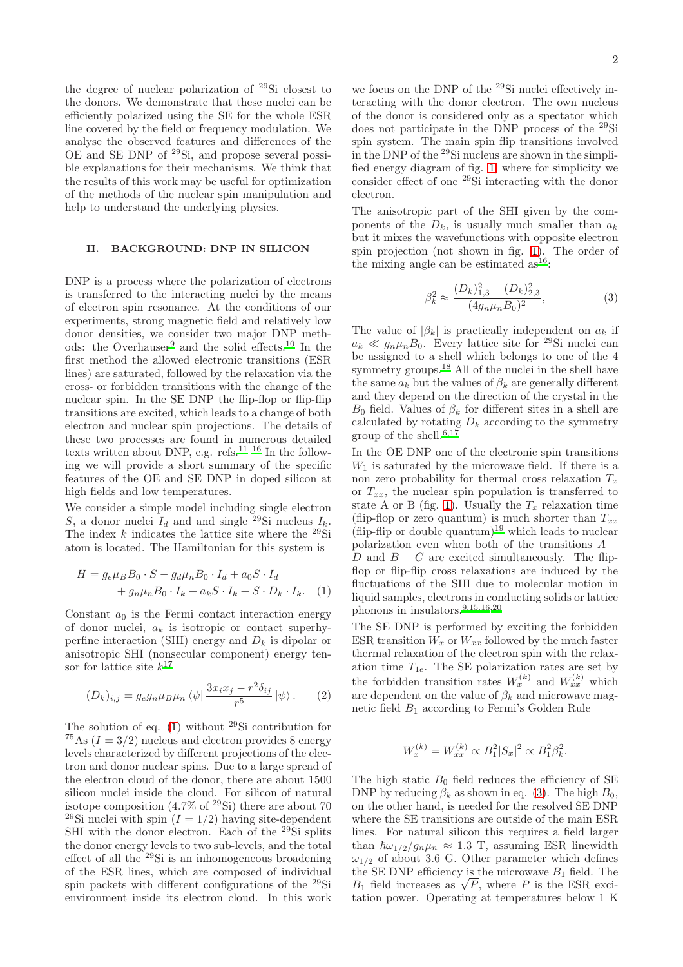the degree of nuclear polarization of <sup>29</sup>Si closest to the donors. We demonstrate that these nuclei can be efficiently polarized using the SE for the whole ESR line covered by the field or frequency modulation. We analyse the observed features and differences of the OE and SE DNP of <sup>29</sup>Si, and propose several possible explanations for their mechanisms. We think that the results of this work may be useful for optimization of the methods of the nuclear spin manipulation and help to understand the underlying physics.

# II. BACKGROUND: DNP IN SILICON

DNP is a process where the polarization of electrons is transferred to the interacting nuclei by the means of electron spin resonance. At the conditions of our experiments, strong magnetic field and relatively low donor densities, we consider two major DNP meth-ods: the Overhauser<sup>[9](#page-9-7)</sup> and the solid effects.<sup>[10](#page-9-8)</sup> In the first method the allowed electronic transitions (ESR lines) are saturated, followed by the relaxation via the cross- or forbidden transitions with the change of the nuclear spin. In the SE DNP the flip-flop or flip-flip transitions are excited, which leads to a change of both electron and nuclear spin projections. The details of these two processes are found in numerous detailed texts written about DNP, e.g. refs.[11](#page-9-9)[–16](#page-9-10) In the following we will provide a short summary of the specific features of the OE and SE DNP in doped silicon at high fields and low temperatures.

We consider a simple model including single electron S, a donor nuclei  $I_d$  and and single <sup>29</sup>Si nucleus  $I_k$ . The index k indicates the lattice site where the  $^{29}$ Si atom is located. The Hamiltonian for this system is

$$
H = g_e \mu_B B_0 \cdot S - g_d \mu_n B_0 \cdot I_d + a_0 S \cdot I_d
$$
  
+  $g_n \mu_n B_0 \cdot I_k + a_k S \cdot I_k + S \cdot D_k \cdot I_k.$  (1)

Constant  $a_0$  is the Fermi contact interaction energy of donor nuclei,  $a_k$  is isotropic or contact superhyperfine interaction (SHI) energy and  $D_k$  is dipolar or anisotropic SHI (nonsecular component) energy tensor for lattice site  $k^{17}$  $k^{17}$  $k^{17}$ 

$$
(D_k)_{i,j} = g_e g_n \mu_B \mu_n \langle \psi | \frac{3x_i x_j - r^2 \delta_{ij}}{r^5} | \psi \rangle. \tag{2}
$$

The solution of eq. [\(1\)](#page-1-0) without <sup>29</sup>Si contribution for <sup>75</sup>As ( $I = 3/2$ ) nucleus and electron provides 8 energy levels characterized by different projections of the electron and donor nuclear spins. Due to a large spread of the electron cloud of the donor, there are about 1500 silicon nuclei inside the cloud. For silicon of natural isotope composition  $(4.7\% \text{ of }^{29}\text{Si})$  there are about 70 <sup>29</sup>Si nuclei with spin  $(I = 1/2)$  having site-dependent SHI with the donor electron. Each of the <sup>29</sup>Si splits the donor energy levels to two sub-levels, and the total effect of all the <sup>29</sup>Si is an inhomogeneous broadening of the ESR lines, which are composed of individual spin packets with different configurations of the <sup>29</sup>Si environment inside its electron cloud. In this work

we focus on the DNP of the <sup>29</sup>Si nuclei effectively interacting with the donor electron. The own nucleus of the donor is considered only as a spectator which does not participate in the DNP process of the <sup>29</sup>Si spin system. The main spin flip transitions involved in the DNP of the <sup>29</sup>Si nucleus are shown in the simplified energy diagram of fig. [1,](#page-2-0) where for simplicity we consider effect of one <sup>29</sup>Si interacting with the donor electron.

The anisotropic part of the SHI given by the components of the  $D_k$ , is usually much smaller than  $a_k$ but it mixes the wavefunctions with opposite electron spin projection (not shown in fig. [1\)](#page-2-0). The order of the mixing angle can be e[s](#page-9-10)timated as  $16$ :

<span id="page-1-1"></span>
$$
\beta_k^2 \approx \frac{(D_k)_{1,3}^2 + (D_k)_{2,3}^2}{(4g_n\mu_n B_0)^2},\tag{3}
$$

The value of  $|\beta_k|$  is practically independent on  $a_k$  if  $a_k \ll g_n \mu_n B_0$ . Every lattice site for <sup>29</sup>Si nuclei can be assigned to a shell which belongs to one of the 4 symmetry groups[.](#page-9-12)<sup>18</sup> All of the nuclei in the shell have the same  $a_k$  but the values of  $\beta_k$  are generally different and they depend on the direction of the crystal in the  $B_0$  field. Values of  $\beta_k$  for different sites in a shell are calculated by rotating  $D_k$  according to the symmetry group of the shell.<sup>[6](#page-9-13)[,17](#page-9-11)</sup>

In the OE DNP one of the electronic spin transitions  $W_1$  is saturated by the microwave field. If there is a non zero probability for thermal cross relaxation  $T_x$ or  $T_{xx}$ , the nuclear spin population is transferred to state A or B (fig. [1\)](#page-2-0). Usually the  $T_x$  relaxation time (flip-flop or zero quantum) is much shorter than  $T_{xx}$ (flip-flip or double quantum)<sup>[19](#page-9-14)</sup> which leads to nuclear polarization even when both of the transitions  $A -$ D and  $B - C$  are excited simultaneously. The flipflop or flip-flip cross relaxations are induced by the fluctuations of the SHI due to molecular motion in liquid samples, electrons in conducting solids or lattice phonons in insulators.[9](#page-9-7)[,15](#page-9-15)[,16](#page-9-10)[,20](#page-9-16)

<span id="page-1-0"></span>The SE DNP is performed by exciting the forbidden ESR transition  $W_x$  or  $W_{xx}$  followed by the much faster thermal relaxation of the electron spin with the relaxation time  $T_{1e}$ . The SE polarization rates are set by the forbidden transition rates  $W_x^{(k)}$  and  $W_{xx}^{(k)}$  which are dependent on the value of  $\beta_k$  and microwave magnetic field  $B_1$  according to Fermi's Golden Rule

$$
W_x^{(k)} = W_{xx}^{(k)} \propto B_1^2 |S_x|^2 \propto B_1^2 \beta_k^2.
$$

The high static  $B_0$  field reduces the efficiency of SE DNP by reducing  $\beta_k$  as shown in eq. [\(3\)](#page-1-1). The high  $B_0$ , on the other hand, is needed for the resolved SE DNP where the SE transitions are outside of the main ESR lines. For natural silicon this requires a field larger than  $\hbar \omega_{1/2}/g_n\mu_n \approx 1.3$  T, assuming ESR linewidth  $\omega_{1/2}$  of about 3.6 G. Other parameter which defines the SE DNP efficiency is the microwave  $B_1$  field. The  $B_1$  field increases as  $\sqrt{P}$ , where P is the ESR excitation power. Operating at temperatures below 1 K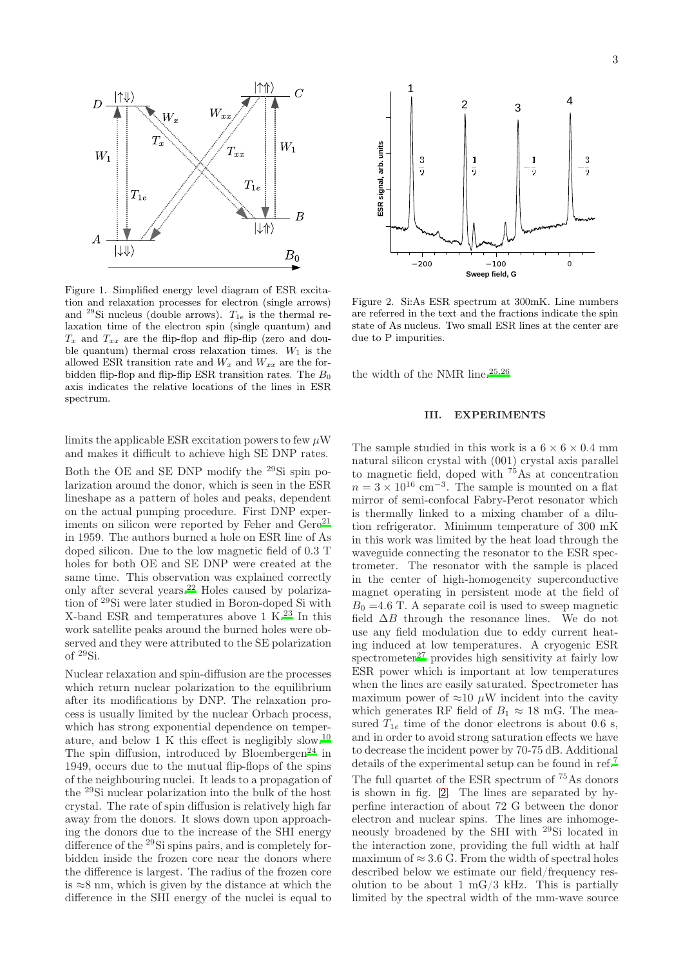

<span id="page-2-0"></span>Figure 1. Simplified energy level diagram of ESR excitation and relaxation processes for electron (single arrows) and <sup>29</sup>Si nucleus (double arrows).  $T_{1e}$  is the thermal relaxation time of the electron spin (single quantum) and  $T<sub>x</sub>$  and  $T<sub>xx</sub>$  are the flip-flop and flip-flip (zero and double quantum) thermal cross relaxation times.  $W_1$  is the allowed ESR transition rate and  $W_x$  and  $W_{xx}$  are the forbidden flip-flop and flip-flip ESR transition rates. The  $B_0$ axis indicates the relative locations of the lines in ESR spectrum.

limits the applicable ESR excitation powers to few  $\mu$ W and makes it difficult to achieve high SE DNP rates.

Both the OE and SE DNP modify the <sup>29</sup>Si spin polarization around the donor, which is seen in the ESR lineshape as a pattern of holes and peaks, dependent on the actual pumping procedure. First DNP experiments on silicon were reported by Feher and  $Gere^{21}$  $Gere^{21}$  $Gere^{21}$ in 1959. The authors burned a hole on ESR line of As doped silicon. Due to the low magnetic field of 0.3 T holes for both OE and SE DNP were created at the same time. This observation was explained correctly only after several years.[22](#page-9-18) Holes caused by polarization of <sup>29</sup>Si were later studied in Boron-doped Si with X-band ESR and temperatures above 1 K[.](#page-10-0) $^{23}$  In this work satellite peaks around the burned holes were observed and they were attributed to the SE polarization of <sup>29</sup>Si.

Nuclear relaxation and spin-diffusion are the processes which return nuclear polarization to the equilibrium after its modifications by DNP. The relaxation process is usually limited by the nuclear Orbach process, which has strong exponential dependence on temperature, and below 1 K this effect is negligibly slow.[10](#page-9-8) The spin diffusion, introduced by Bloembergen<sup>[24](#page-10-1)</sup> in 1949, occurs due to the mutual flip-flops of the spins of the neighbouring nuclei. It leads to a propagation of the <sup>29</sup>Si nuclear polarization into the bulk of the host crystal. The rate of spin diffusion is relatively high far away from the donors. It slows down upon approaching the donors due to the increase of the SHI energy difference of the <sup>29</sup>Si spins pairs, and is completely forbidden inside the frozen core near the donors where the difference is largest. The radius of the frozen core is  $\approx 8$  nm, which is given by the distance at which the difference in the SHI energy of the nuclei is equal to



<span id="page-2-1"></span>Figure 2. Si:As ESR spectrum at 300mK. Line numbers are referred in the text and the fractions indicate the spin state of As nucleus. Two small ESR lines at the center are due to P impurities.

the width of the NMR line. $25,26$  $25,26$ 

# <span id="page-2-2"></span>III. EXPERIMENTS

The sample studied in this work is a  $6 \times 6 \times 0.4$  mm natural silicon crystal with (001) crystal axis parallel to magnetic field, doped with  $^{75}$ As at concentration  $n = 3 \times 10^{16}$  cm<sup>-3</sup>. The sample is mounted on a flat mirror of semi-confocal Fabry-Perot resonator which is thermally linked to a mixing chamber of a dilution refrigerator. Minimum temperature of 300 mK in this work was limited by the heat load through the waveguide connecting the resonator to the ESR spectrometer. The resonator with the sample is placed in the center of high-homogeneity superconductive magnet operating in persistent mode at the field of  $B_0 = 4.6$  T. A separate coil is used to sweep magnetic field  $\Delta B$  through the resonance lines. We do not use any field modulation due to eddy current heating induced at low temperatures. A cryogenic ESR spectrometer $^{27}$  $^{27}$  $^{27}$  provides high sensitivity at fairly low ESR power which is important at low temperatures when the lines are easily saturated. Spectrometer has maximum power of  $\approx 10 \mu$ W incident into the cavity which generates RF field of  $B_1 \approx 18$  mG. The measured  $T_{1e}$  time of the donor electrons is about 0.6 s, and in order to avoid strong saturation effects we have to decrease the incident power by 70-75 dB. Additional details of the experimental setup can be found in ref.[7](#page-9-5) The full quartet of the ESR spectrum of <sup>75</sup>As donors is shown in fig. [2.](#page-2-1) The lines are separated by hyperfine interaction of about 72 G between the donor electron and nuclear spins. The lines are inhomogeneously broadened by the SHI with <sup>29</sup>Si located in the interaction zone, providing the full width at half maximum of  $\approx 3.6$  G. From the width of spectral holes described below we estimate our field/frequency resolution to be about 1  $mG/3$  kHz. This is partially limited by the spectral width of the mm-wave source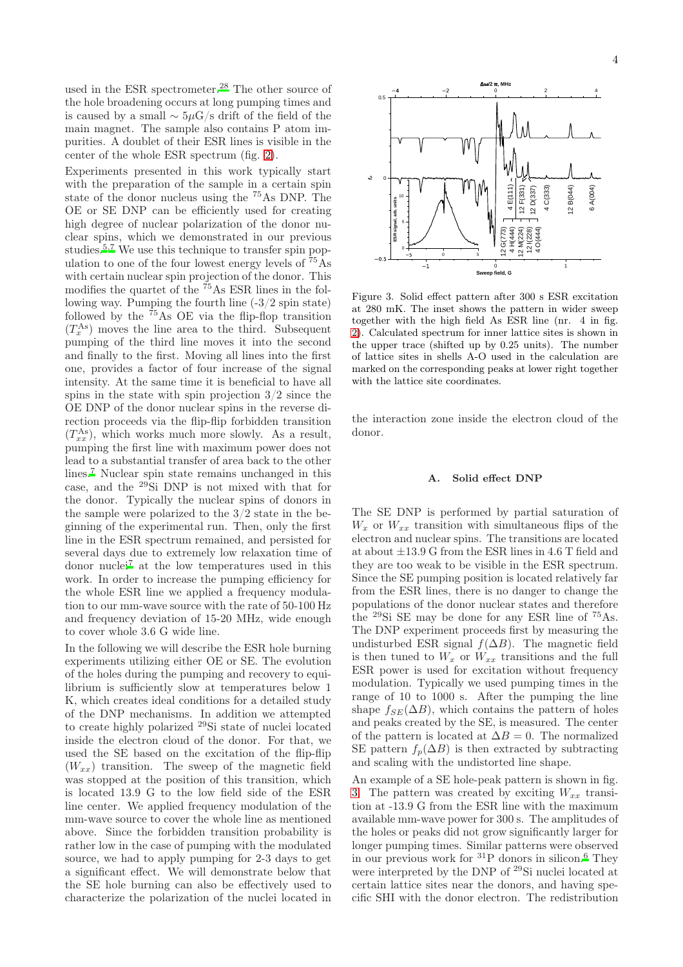used in the ESR spectrometer.<sup>[28](#page-10-5)</sup> The other source of the hole broadening occurs at long pumping times and is caused by a small ∼ 5µG/s drift of the field of the main magnet. The sample also contains P atom impurities. A doublet of their ESR lines is visible in the center of the whole ESR spectrum (fig. [2\)](#page-2-1).

Experiments presented in this work typically start with the preparation of the sample in a certain spin state of the donor nucleus using the <sup>75</sup>As DNP. The OE or SE DNP can be efficiently used for creating high degree of nuclear polarization of the donor nuclear spins, which we demonstrated in our previous studies[.](#page-9-4)<sup>5[,7](#page-9-5)</sup> We use this technique to transfer spin population to one of the four lowest energy levels of  $\bar{75}$ As with certain nuclear spin projection of the donor. This modifies the quartet of the  $^{75}$ As ESR lines in the following way. Pumping the fourth line (-3/2 spin state) followed by the <sup>75</sup>As OE via the flip-flop transition  $(T_x^{\text{As}})$  moves the line area to the third. Subsequent pumping of the third line moves it into the second and finally to the first. Moving all lines into the first one, provides a factor of four increase of the signal intensity. At the same time it is beneficial to have all spins in the state with spin projection  $3/2$  since the OE DNP of the donor nuclear spins in the reverse direction proceeds via the flip-flip forbidden transition  $(T_{xx}^{As})$ , which works much more slowly. As a result, pumping the first line with maximum power does not lead to a substantial transfer of area back to the other lines.<sup>[7](#page-9-5)</sup> Nuclear spin state remains unchanged in this case, and the <sup>29</sup>Si DNP is not mixed with that for the donor. Typically the nuclear spins of donors in the sample were polarized to the 3/2 state in the beginning of the experimental run. Then, only the first line in the ESR spectrum remained, and persisted for several days due to extremely low relaxation time of donor nuclei[7](#page-9-5) at the low temperatures used in this work. In order to increase the pumping efficiency for the whole ESR line we applied a frequency modulation to our mm-wave source with the rate of 50-100 Hz and frequency deviation of 15-20 MHz, wide enough to cover whole 3.6 G wide line.

In the following we will describe the ESR hole burning experiments utilizing either OE or SE. The evolution of the holes during the pumping and recovery to equilibrium is sufficiently slow at temperatures below 1 K, which creates ideal conditions for a detailed study of the DNP mechanisms. In addition we attempted to create highly polarized <sup>29</sup>Si state of nuclei located inside the electron cloud of the donor. For that, we used the SE based on the excitation of the flip-flip  $(W_{xx})$  transition. The sweep of the magnetic field was stopped at the position of this transition, which is located 13.9 G to the low field side of the ESR line center. We applied frequency modulation of the mm-wave source to cover the whole line as mentioned above. Since the forbidden transition probability is rather low in the case of pumping with the modulated source, we had to apply pumping for 2-3 days to get a significant effect. We will demonstrate below that the SE hole burning can also be effectively used to characterize the polarization of the nuclei located in



<span id="page-3-0"></span>Figure 3. Solid effect pattern after 300 s ESR excitation at 280 mK. The inset shows the pattern in wider sweep together with the high field As ESR line (nr. 4 in fig. [2\)](#page-2-1). Calculated spectrum for inner lattice sites is shown in the upper trace (shifted up by 0.25 units). The number of lattice sites in shells A-O used in the calculation are marked on the corresponding peaks at lower right together with the lattice site coordinates.

the interaction zone inside the electron cloud of the donor.

#### A. Solid effect DNP

The SE DNP is performed by partial saturation of  $W_x$  or  $W_{xx}$  transition with simultaneous flips of the electron and nuclear spins. The transitions are located at about ±13.9 G from the ESR lines in 4.6 T field and they are too weak to be visible in the ESR spectrum. Since the SE pumping position is located relatively far from the ESR lines, there is no danger to change the populations of the donor nuclear states and therefore the <sup>29</sup>Si SE may be done for any ESR line of <sup>75</sup>As. The DNP experiment proceeds first by measuring the undisturbed ESR signal  $f(\Delta B)$ . The magnetic field is then tuned to  $W_x$  or  $W_{xx}$  transitions and the full ESR power is used for excitation without frequency modulation. Typically we used pumping times in the range of 10 to 1000 s. After the pumping the line shape  $f_{SE}(\Delta B)$ , which contains the pattern of holes and peaks created by the SE, is measured. The center of the pattern is located at  $\Delta B = 0$ . The normalized SE pattern  $f_p(\Delta B)$  is then extracted by subtracting and scaling with the undistorted line shape.

An example of a SE hole-peak pattern is shown in fig. [3.](#page-3-0) The pattern was created by exciting  $W_{xx}$  transition at -13.9 G from the ESR line with the maximum available mm-wave power for 300 s. The amplitudes of the holes or peaks did not grow significantly larger for longer pumping times. Similar patterns were observed in our previous work for  ${}^{31}P$  donors in silicon.<sup>[6](#page-9-13)</sup> They were interpreted by the DNP of <sup>29</sup>Si nuclei located at certain lattice sites near the donors, and having specific SHI with the donor electron. The redistribution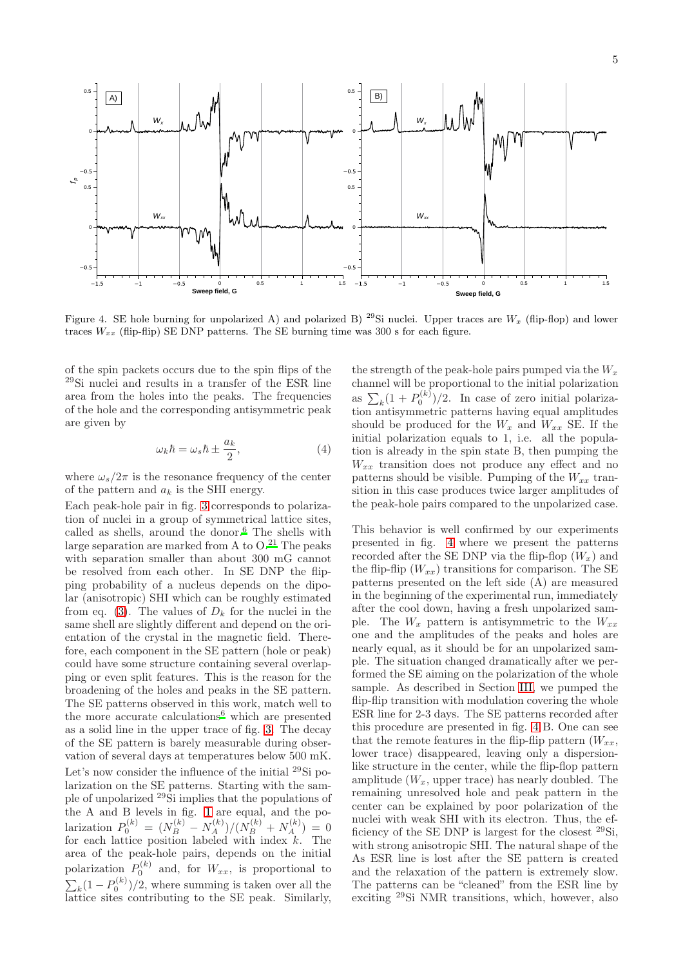

<span id="page-4-0"></span>Figure 4. SE hole burning for unpolarized A) and polarized B) <sup>29</sup>Si nuclei. Upper traces are  $W_x$  (flip-flop) and lower traces  $W_{xx}$  (flip-flip) SE DNP patterns. The SE burning time was 300 s for each figure.

of the spin packets occurs due to the spin flips of the <sup>29</sup>Si nuclei and results in a transfer of the ESR line area from the holes into the peaks. The frequencies of the hole and the corresponding antisymmetric peak are given by

$$
\omega_k \hbar = \omega_s \hbar \pm \frac{a_k}{2},\tag{4}
$$

where  $\omega_s/2\pi$  is the resonance frequency of the center of the pattern and  $a_k$  is the SHI energy.

Each peak-hole pair in fig. [3](#page-3-0) corresponds to polarization of nuclei in a group of symmetrical lattice sites, called as shells, around the donor. $6$  The shells with large separation are marked from A to  $O^{21}$  $O^{21}$  $O^{21}$ . The peaks with separation smaller than about 300 mG cannot be resolved from each other. In SE DNP the flipping probability of a nucleus depends on the dipolar (anisotropic) SHI which can be roughly estimated from eq. [\(3\)](#page-1-1). The values of  $D_k$  for the nuclei in the same shell are slightly different and depend on the orientation of the crystal in the magnetic field. Therefore, each component in the SE pattern (hole or peak) could have some structure containing several overlapping or even split features. This is the reason for the broadening of the holes and peaks in the SE pattern. The SE patterns observed in this work, match well to the more accurate calculation[s](#page-9-13)<sup>6</sup> which are presented as a solid line in the upper trace of fig. [3.](#page-3-0) The decay of the SE pattern is barely measurable during observation of several days at temperatures below 500 mK. Let's now consider the influence of the initial <sup>29</sup>Si polarization on the SE patterns. Starting with the sample of unpolarized <sup>29</sup>Si implies that the populations of the A and B levels in fig. [1](#page-2-0) are equal, and the polarization  $P_0^{(k)} = (N_B^{(k)} - N_A^{(k)})/(N_B^{(k)} + N_A^{(k)}) = 0$ for each lattice position labeled with index  $k$ . The area of the peak-hole pairs, depends on the initial polarization  $P_0^{(k)}$  and, for  $W_{xx}$ , is proportional to  $\sum_{k} (1 - P_0^{(k)})/2$ , where summing is taken over all the lattice sites contributing to the SE peak. Similarly,

the strength of the peak-hole pairs pumped via the  $W_x$ channel will be proportional to the initial polarization as  $\sum_{k} (1 + P_0^{(k)})/2$ . In case of zero initial polarization antisymmetric patterns having equal amplitudes should be produced for the  $W_x$  and  $W_{xx}$  SE. If the initial polarization equals to 1, i.e. all the population is already in the spin state B, then pumping the  $W_{xx}$  transition does not produce any effect and no patterns should be visible. Pumping of the  $W_{xx}$  transition in this case produces twice larger amplitudes of the peak-hole pairs compared to the unpolarized case.

This behavior is well confirmed by our experiments presented in fig. [4](#page-4-0) where we present the patterns recorded after the SE DNP via the flip-flop  $(W_x)$  and the flip-flip  $(W_{xx})$  transitions for comparison. The SE patterns presented on the left side (A) are measured in the beginning of the experimental run, immediately after the cool down, having a fresh unpolarized sample. The  $W_x$  pattern is antisymmetric to the  $W_{xx}$ one and the amplitudes of the peaks and holes are nearly equal, as it should be for an unpolarized sample. The situation changed dramatically after we performed the SE aiming on the polarization of the whole sample. As described in Section [III,](#page-2-2) we pumped the flip-flip transition with modulation covering the whole ESR line for 2-3 days. The SE patterns recorded after this procedure are presented in fig. [4](#page-4-0) B. One can see that the remote features in the flip-flip pattern  $(W_{xx},$ lower trace) disappeared, leaving only a dispersionlike structure in the center, while the flip-flop pattern amplitude  $(W_x,$  upper trace) has nearly doubled. The remaining unresolved hole and peak pattern in the center can be explained by poor polarization of the nuclei with weak SHI with its electron. Thus, the efficiency of the SE DNP is largest for the closest  $^{29}Si$ , with strong anisotropic SHI. The natural shape of the As ESR line is lost after the SE pattern is created and the relaxation of the pattern is extremely slow. The patterns can be "cleaned" from the ESR line by exciting <sup>29</sup>Si NMR transitions, which, however, also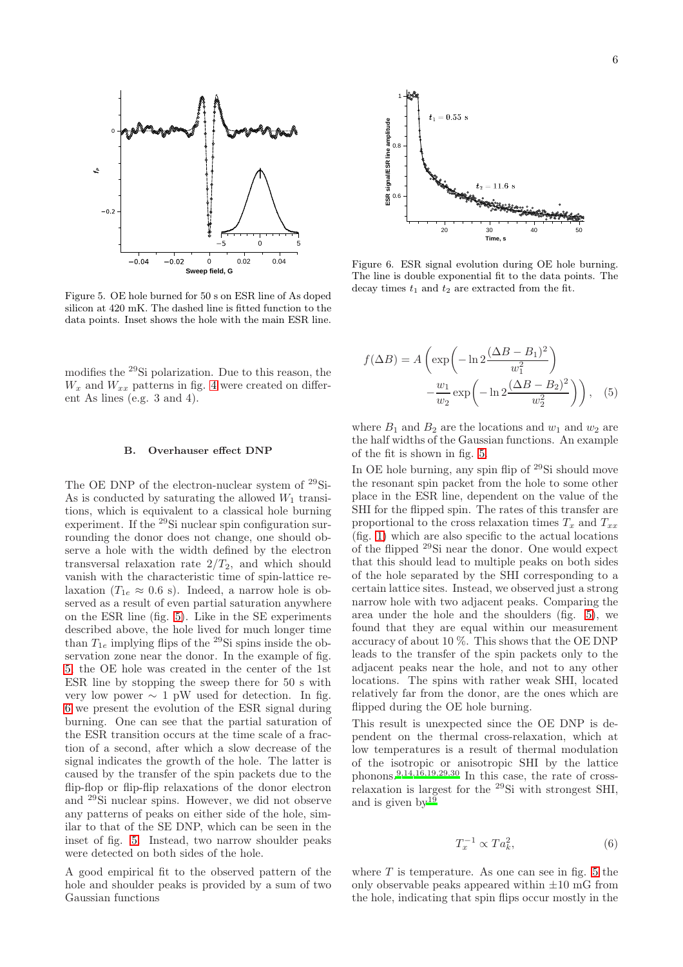

<span id="page-5-0"></span>Figure 5. OE hole burned for 50 s on ESR line of As doped silicon at 420 mK. The dashed line is fitted function to the data points. Inset shows the hole with the main ESR line.

modifies the <sup>29</sup>Si polarization. Due to this reason, the  $W_x$  and  $W_{xx}$  patterns in fig. [4](#page-4-0) were created on different As lines (e.g. 3 and 4).

#### B. Overhauser effect DNP

The OE DNP of the electron-nuclear system of <sup>29</sup>Si-As is conducted by saturating the allowed  $W_1$  transitions, which is equivalent to a classical hole burning experiment. If the  $^{29}$ Si nuclear spin configuration surrounding the donor does not change, one should observe a hole with the width defined by the electron transversal relaxation rate  $2/T_2$ , and which should vanish with the characteristic time of spin-lattice relaxation ( $T_{1e} \approx 0.6$  s). Indeed, a narrow hole is observed as a result of even partial saturation anywhere on the ESR line (fig. [5\)](#page-5-0). Like in the SE experiments described above, the hole lived for much longer time than  $T_{1e}$  implying flips of the <sup>29</sup>Si spins inside the observation zone near the donor. In the example of fig. [5,](#page-5-0) the OE hole was created in the center of the 1st ESR line by stopping the sweep there for 50 s with very low power  $\sim 1$  pW used for detection. In fig. [6](#page-5-1) we present the evolution of the ESR signal during burning. One can see that the partial saturation of the ESR transition occurs at the time scale of a fraction of a second, after which a slow decrease of the signal indicates the growth of the hole. The latter is caused by the transfer of the spin packets due to the flip-flop or flip-flip relaxations of the donor electron and <sup>29</sup>Si nuclear spins. However, we did not observe any patterns of peaks on either side of the hole, similar to that of the SE DNP, which can be seen in the inset of fig. [5.](#page-5-0) Instead, two narrow shoulder peaks were detected on both sides of the hole.

A good empirical fit to the observed pattern of the hole and shoulder peaks is provided by a sum of two Gaussian functions



<span id="page-5-1"></span>Figure 6. ESR signal evolution during OE hole burning. The line is double exponential fit to the data points. The decay times  $t_1$  and  $t_2$  are extracted from the fit.

<span id="page-5-3"></span>
$$
f(\Delta B) = A \left( \exp \left( -\ln 2 \frac{(\Delta B - B_1)^2}{w_1^2} \right) - \frac{w_1}{w_2} \exp \left( -\ln 2 \frac{(\Delta B - B_2)^2}{w_2^2} \right) \right), \quad (5)
$$

where  $B_1$  and  $B_2$  are the locations and  $w_1$  and  $w_2$  are the half widths of the Gaussian functions. An example of the fit is shown in fig. [5.](#page-5-0)

In OE hole burning, any spin flip of <sup>29</sup>Si should move the resonant spin packet from the hole to some other place in the ESR line, dependent on the value of the SHI for the flipped spin. The rates of this transfer are proportional to the cross relaxation times  $T_x$  and  $T_{xx}$ (fig. [1\)](#page-2-0) which are also specific to the actual locations of the flipped <sup>29</sup>Si near the donor. One would expect that this should lead to multiple peaks on both sides of the hole separated by the SHI corresponding to a certain lattice sites. Instead, we observed just a strong narrow hole with two adjacent peaks. Comparing the area under the hole and the shoulders (fig. [5\)](#page-5-0), we found that they are equal within our measurement accuracy of about 10 %. This shows that the OE DNP leads to the transfer of the spin packets only to the adjacent peaks near the hole, and not to any other locations. The spins with rather weak SHI, located relatively far from the donor, are the ones which are flipped during the OE hole burning.

This result is unexpected since the OE DNP is dependent on the thermal cross-relaxation, which at low temperatures is a result of thermal modulation of the isotropic or anisotropic SHI by the lattice phonons.<sup>[9](#page-9-7)[,14](#page-9-19)[,16](#page-9-10)[,19](#page-9-14)[,29](#page-10-6)[,30](#page-10-7)</sup> In this case, the rate of crossrelaxation is largest for the <sup>29</sup>Si with strongest SHI, and is given  $bv^{19}$  $bv^{19}$  $bv^{19}$ 

<span id="page-5-2"></span>
$$
T_x^{-1} \propto Ta_k^2,\tag{6}
$$

where  $T$  is temperature. As one can see in fig. [5](#page-5-0) the only observable peaks appeared within  $\pm 10$  mG from the hole, indicating that spin flips occur mostly in the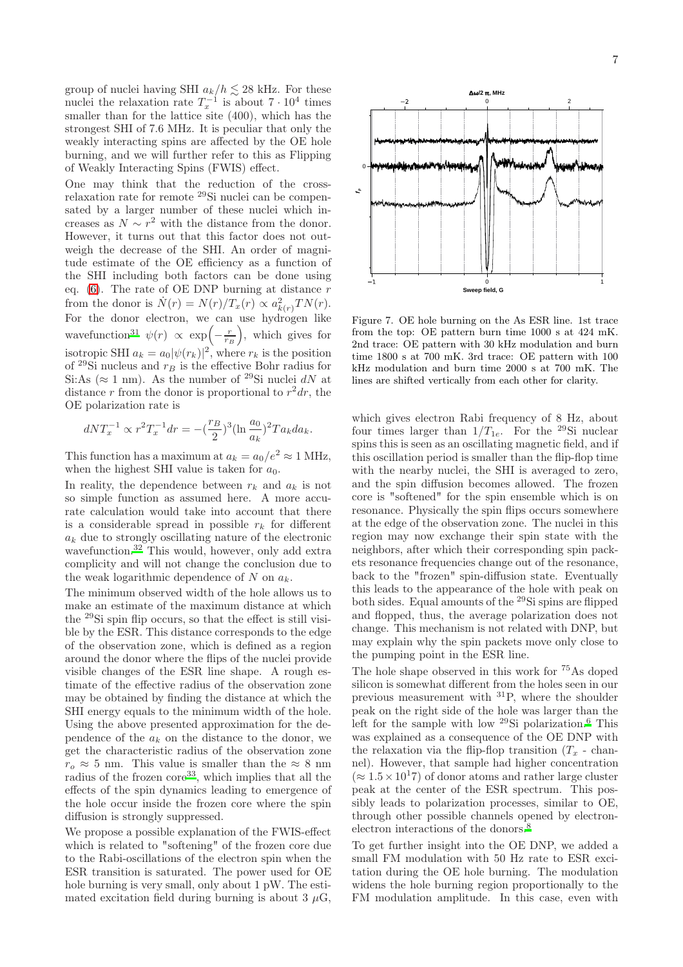group of nuclei having SHI  $a_k/h \lesssim 28$  kHz. For these nuclei the relaxation rate  $T_x^{-1}$  is about  $7 \cdot 10^4$  times smaller than for the lattice site (400), which has the strongest SHI of 7.6 MHz. It is peculiar that only the weakly interacting spins are affected by the OE hole burning, and we will further refer to this as Flipping of Weakly Interacting Spins (FWIS) effect.

One may think that the reduction of the crossrelaxation rate for remote <sup>29</sup>Si nuclei can be compensated by a larger number of these nuclei which increases as  $N \sim r^2$  with the distance from the donor. However, it turns out that this factor does not outweigh the decrease of the SHI. An order of magnitude estimate of the OE efficiency as a function of the SHI including both factors can be done using eq. [\(6\)](#page-5-2). The rate of OE DNP burning at distance  $r$ from the donor is  $\dot{N}(r) = N(r)/T_x(r) \propto a_{k(r)}^2 T N(r)$ . For the donor electron, we can use hydrogen like wavefunction<sup>[31](#page-10-8)</sup>  $\psi(r) \propto \exp\left(-\frac{r}{r_B}\right)$ , which gives for isotropic SHI  $a_k = a_0 |\psi(r_k)|^2$ , where  $r_k$  is the position of <sup>29</sup>Si nucleus and  $r_B$  is the effective Bohr radius for Si:As ( $\approx$  1 nm). As the number of <sup>29</sup>Si nuclei dN at distance r from the donor is proportional to  $r^2 dr$ , the OE polarization rate is

$$
dNT_x^{-1} \propto r^2 T_x^{-1} dr = -(\frac{r_B}{2})^3 (\ln \frac{a_0}{a_k})^2 Ta_k da_k.
$$

This function has a maximum at  $a_k = a_0/e^2 \approx 1$  MHz, when the highest SHI value is taken for  $a_0$ .

In reality, the dependence between  $r_k$  and  $a_k$  is not so simple function as assumed here. A more accurate calculation would take into account that there is a considerable spread in possible  $r_k$  for different  $a_k$  due to strongly oscillating nature of the electronic wavefunction.<sup>[32](#page-10-9)</sup> This would, however, only add extra complicity and will not change the conclusion due to the weak logarithmic dependence of  $N$  on  $a_k$ .

The minimum observed width of the hole allows us to make an estimate of the maximum distance at which the <sup>29</sup>Si spin flip occurs, so that the effect is still visible by the ESR. This distance corresponds to the edge of the observation zone, which is defined as a region around the donor where the flips of the nuclei provide visible changes of the ESR line shape. A rough estimate of the effective radius of the observation zone may be obtained by finding the distance at which the SHI energy equals to the minimum width of the hole. Using the above presented approximation for the dependence of the  $a_k$  on the distance to the donor, we get the characteristic radius of the observation zone  $r_o \approx 5$  nm. This value is smaller than the  $\approx 8$  nm radius of the frozen core<sup>[33](#page-10-10)</sup>, which implies that all the effects of the spin dynamics leading to emergence of the hole occur inside the frozen core where the spin diffusion is strongly suppressed.

We propose a possible explanation of the FWIS-effect which is related to "softening" of the frozen core due to the Rabi-oscillations of the electron spin when the ESR transition is saturated. The power used for OE hole burning is very small, only about 1 pW. The estimated excitation field during burning is about 3  $\mu$ G,



<span id="page-6-0"></span>Figure 7. OE hole burning on the As ESR line. 1st trace from the top: OE pattern burn time 1000 s at 424 mK. 2nd trace: OE pattern with 30 kHz modulation and burn time 1800 s at 700 mK. 3rd trace: OE pattern with 100 kHz modulation and burn time 2000 s at 700 mK. The lines are shifted vertically from each other for clarity.

which gives electron Rabi frequency of 8 Hz, about four times larger than  $1/T_{1e}$ . For the <sup>29</sup>Si nuclear spins this is seen as an oscillating magnetic field, and if this oscillation period is smaller than the flip-flop time with the nearby nuclei, the SHI is averaged to zero, and the spin diffusion becomes allowed. The frozen core is "softened" for the spin ensemble which is on resonance. Physically the spin flips occurs somewhere at the edge of the observation zone. The nuclei in this region may now exchange their spin state with the neighbors, after which their corresponding spin packets resonance frequencies change out of the resonance, back to the "frozen" spin-diffusion state. Eventually this leads to the appearance of the hole with peak on both sides. Equal amounts of the <sup>29</sup>Si spins are flipped and flopped, thus, the average polarization does not change. This mechanism is not related with DNP, but may explain why the spin packets move only close to the pumping point in the ESR line.

The hole shape observed in this work for <sup>75</sup>As doped silicon is somewhat different from the holes seen in our previous measurement with <sup>31</sup>P, where the shoulder peak on the right side of the hole was larger than the left for the sample with low  $^{29}$ Si polarization.<sup>[6](#page-9-13)</sup> This was explained as a consequence of the OE DNP with the relaxation via the flip-flop transition  $(T_x - \text{chan-}$ nel). However, that sample had higher concentration  $(\approx 1.5 \times 10^{17})$  of donor atoms and rather large cluster peak at the center of the ESR spectrum. This possibly leads to polarization processes, similar to OE, through other possible channels opened by electronelectron interactions of the donors[.](#page-9-6)<sup>8</sup>

To get further insight into the OE DNP, we added a small FM modulation with 50 Hz rate to ESR excitation during the OE hole burning. The modulation widens the hole burning region proportionally to the FM modulation amplitude. In this case, even with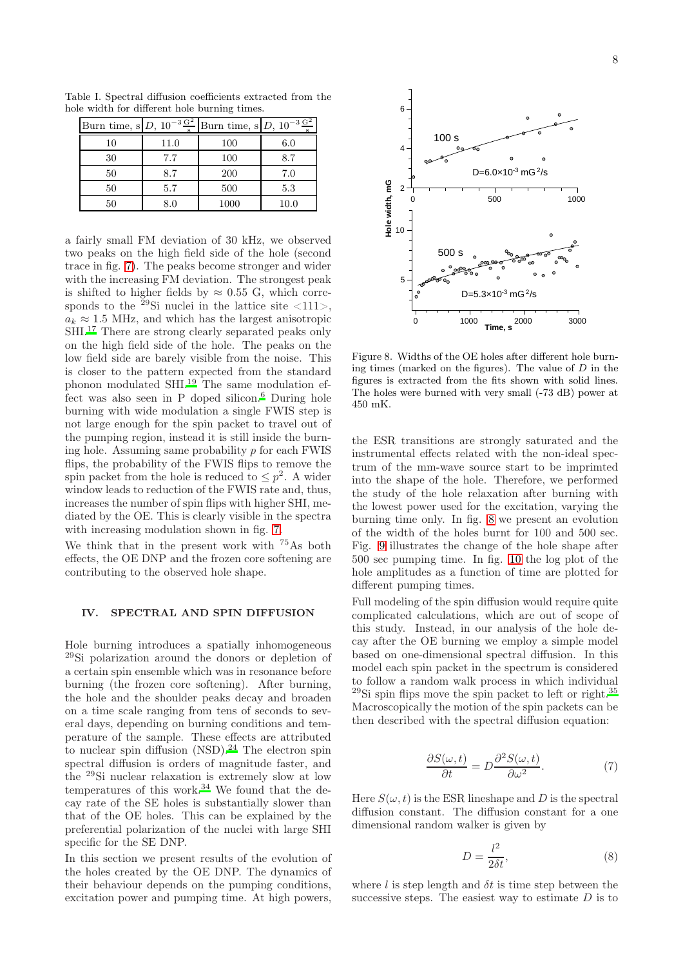Table I. Spectral diffusion coefficients extracted from the hole width for different hole burning times.

<span id="page-7-2"></span>

|    |         | Burn time, s $D$ , $10^{-3} \frac{G^2}{s}$ Burn time, s $D$ , $10^{-3} \frac{G^2}{s}$ |      |
|----|---------|---------------------------------------------------------------------------------------|------|
| 10 | 11.0    | 100                                                                                   | 6.0  |
| 30 | 7.7     | 100                                                                                   | 8.7  |
| 50 | 8.7     | <b>200</b>                                                                            | 7.0  |
| 50 | 5.7     | 500                                                                                   | 5.3  |
| 50 | $8.0\,$ | 1000                                                                                  | 10.0 |

a fairly small FM deviation of 30 kHz, we observed two peaks on the high field side of the hole (second trace in fig. [7\)](#page-6-0). The peaks become stronger and wider with the increasing FM deviation. The strongest peak is shifted to higher fields by  $\approx 0.55$  G, which corresponds to the <sup>29</sup>Si nuclei in the lattice site  $\langle 111 \rangle$ ,  $a_k \approx 1.5$  MHz, and which has the largest anisotropic SHI.<sup>[17](#page-9-11)</sup> There are strong clearly separated peaks only on the high field side of the hole. The peaks on the low field side are barely visible from the noise. This is closer to the pattern expected from the standard phonon modulated SHI[.](#page-9-14)<sup>19</sup> The same modulation effect was also seen in  $P$  doped silicon.<sup>[6](#page-9-13)</sup> During hole burning with wide modulation a single FWIS step is not large enough for the spin packet to travel out of the pumping region, instead it is still inside the burning hole. Assuming same probability  $p$  for each FWIS flips, the probability of the FWIS flips to remove the spin packet from the hole is reduced to  $\leq p^2$ . A wider window leads to reduction of the FWIS rate and, thus, increases the number of spin flips with higher SHI, mediated by the OE. This is clearly visible in the spectra with increasing modulation shown in fig. [7.](#page-6-0)

We think that in the present work with  $^{75}\mathrm{As}$  both effects, the OE DNP and the frozen core softening are contributing to the observed hole shape.

### IV. SPECTRAL AND SPIN DIFFUSION

Hole burning introduces a spatially inhomogeneous <sup>29</sup>Si polarization around the donors or depletion of a certain spin ensemble which was in resonance before burning (the frozen core softening). After burning, the hole and the shoulder peaks decay and broaden on a time scale ranging from tens of seconds to several days, depending on burning conditions and temperature of the sample. These effects are attributed to nuclear spin diffusion  $(NSD)$ .<sup>[24](#page-10-1)</sup> The electron spin spectral diffusion is orders of magnitude faster, and the <sup>29</sup>Si nuclear relaxation is extremely slow at low temperatures of this work.[34](#page-10-11) We found that the decay rate of the SE holes is substantially slower than that of the OE holes. This can be explained by the preferential polarization of the nuclei with large SHI specific for the SE DNP.

In this section we present results of the evolution of the holes created by the OE DNP. The dynamics of their behaviour depends on the pumping conditions, excitation power and pumping time. At high powers,



<span id="page-7-0"></span>Figure 8. Widths of the OE holes after different hole burning times (marked on the figures). The value of  $D$  in the figures is extracted from the fits shown with solid lines. The holes were burned with very small (-73 dB) power at 450 mK.

the ESR transitions are strongly saturated and the instrumental effects related with the non-ideal spectrum of the mm-wave source start to be imprimted into the shape of the hole. Therefore, we performed the study of the hole relaxation after burning with the lowest power used for the excitation, varying the burning time only. In fig. [8](#page-7-0) we present an evolution of the width of the holes burnt for 100 and 500 sec. Fig. [9](#page-8-0) illustrates the change of the hole shape after 500 sec pumping time. In fig. [10](#page-8-1) the log plot of the hole amplitudes as a function of time are plotted for different pumping times.

Full modeling of the spin diffusion would require quite complicated calculations, which are out of scope of this study. Instead, in our analysis of the hole decay after the OE burning we employ a simple model based on one-dimensional spectral diffusion. In this model each spin packet in the spectrum is considered to follow a random walk process in which individual  $29\text{Si}$  spin flips move the spin packet to left or right.<sup>[35](#page-10-12)</sup> Macroscopically the motion of the spin packets can be then described with the spectral diffusion equation:

<span id="page-7-1"></span>
$$
\frac{\partial S(\omega, t)}{\partial t} = D \frac{\partial^2 S(\omega, t)}{\partial \omega^2}.
$$
 (7)

Here  $S(\omega, t)$  is the ESR lineshape and D is the spectral diffusion constant. The diffusion constant for a one dimensional random walker is given by

<span id="page-7-3"></span>
$$
D = \frac{l^2}{2\delta t},\tag{8}
$$

where  $l$  is step length and  $\delta t$  is time step between the successive steps. The easiest way to estimate  $D$  is to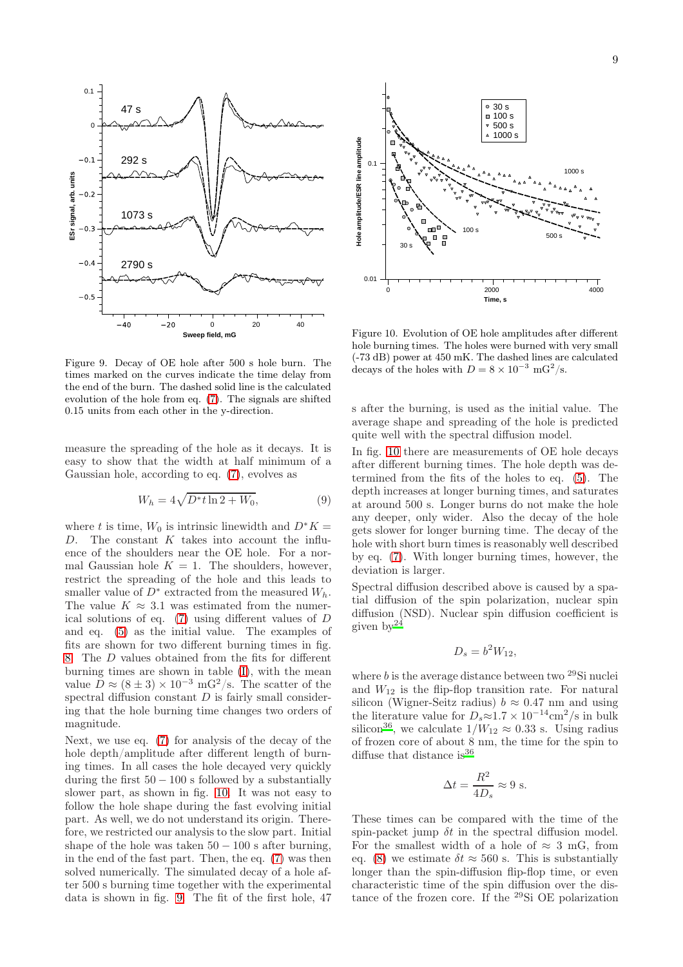

<span id="page-8-0"></span>Figure 9. Decay of OE hole after 500 s hole burn. The times marked on the curves indicate the time delay from the end of the burn. The dashed solid line is the calculated evolution of the hole from eq. [\(7\)](#page-7-1). The signals are shifted 0.15 units from each other in the y-direction.

measure the spreading of the hole as it decays. It is easy to show that the width at half minimum of a Gaussian hole, according to eq. [\(7\)](#page-7-1), evolves as

$$
W_h = 4\sqrt{D^*t \ln 2 + W_0},\tag{9}
$$

where t is time,  $W_0$  is intrinsic linewidth and  $D^*K =$ D. The constant  $K$  takes into account the influence of the shoulders near the OE hole. For a normal Gaussian hole  $K = 1$ . The shoulders, however, restrict the spreading of the hole and this leads to smaller value of  $D^*$  extracted from the measured  $W_h$ . The value  $K \approx 3.1$  was estimated from the numerical solutions of eq. [\(7\)](#page-7-1) using different values of D and eq. [\(5\)](#page-5-3) as the initial value. The examples of fits are shown for two different burning times in fig. [8.](#page-7-0) The D values obtained from the fits for different burning times are shown in table [\(I\)](#page-7-2), with the mean value  $\overrightarrow{D} \approx (8 \pm 3) \times 10^{-3}$  mG<sup>2</sup>/s. The scatter of the spectral diffusion constant  $D$  is fairly small considering that the hole burning time changes two orders of magnitude.

Next, we use eq. [\(7\)](#page-7-1) for analysis of the decay of the hole depth/amplitude after different length of burning times. In all cases the hole decayed very quickly during the first  $50 - 100$  s followed by a substantially slower part, as shown in fig. [10.](#page-8-1) It was not easy to follow the hole shape during the fast evolving initial part. As well, we do not understand its origin. Therefore, we restricted our analysis to the slow part. Initial shape of the hole was taken  $50 - 100$  s after burning, in the end of the fast part. Then, the eq. [\(7\)](#page-7-1) was then solved numerically. The simulated decay of a hole after 500 s burning time together with the experimental data is shown in fig. [9.](#page-8-0) The fit of the first hole, 47



<span id="page-8-1"></span>Figure 10. Evolution of OE hole amplitudes after different hole burning times. The holes were burned with very small (-73 dB) power at 450 mK. The dashed lines are calculated decays of the holes with  $D = 8 \times 10^{-3}$  mG<sup>2</sup>/s.

s after the burning, is used as the initial value. The average shape and spreading of the hole is predicted quite well with the spectral diffusion model.

In fig. [10](#page-8-1) there are measurements of OE hole decays after different burning times. The hole depth was determined from the fits of the holes to eq. [\(5\)](#page-5-3). The depth increases at longer burning times, and saturates at around 500 s. Longer burns do not make the hole any deeper, only wider. Also the decay of the hole gets slower for longer burning time. The decay of the hole with short burn times is reasonably well described by eq. [\(7\)](#page-7-1). With longer burning times, however, the deviation is larger.

Spectral diffusion described above is caused by a spatial diffusion of the spin polarization, nuclear spin diffusion (NSD). Nuclear spin diffusion coefficient is given  $by<sup>24</sup>$  $by<sup>24</sup>$  $by<sup>24</sup>$ 

$$
D_s = b^2 W_{12},
$$

where  $b$  is the average distance between two  $^{29}$ Si nuclei and  $W_{12}$  is the flip-flop transition rate. For natural silicon (Wigner-Seitz radius)  $b \approx 0.47$  nm and using the literature value for  $D_s \approx 1.7 \times 10^{-14} \text{cm}^2/\text{s}$  in bulk silicon<sup>[36](#page-10-13)</sup>, we calculate  $1/W_{12} \approx 0.33$  s. Using radius of frozen core of about 8 nm, the time for the spin to diffuse that distance is  $36$ 

$$
\Delta t = \frac{R^2}{4D_s} \approx 9 \text{ s.}
$$

These times can be compared with the time of the spin-packet jump  $\delta t$  in the spectral diffusion model. For the smallest width of a hole of  $\approx 3$  mG, from eq. [\(8\)](#page-7-3) we estimate  $\delta t \approx 560$  s. This is substantially longer than the spin-diffusion flip-flop time, or even characteristic time of the spin diffusion over the distance of the frozen core. If the <sup>29</sup>Si OE polarization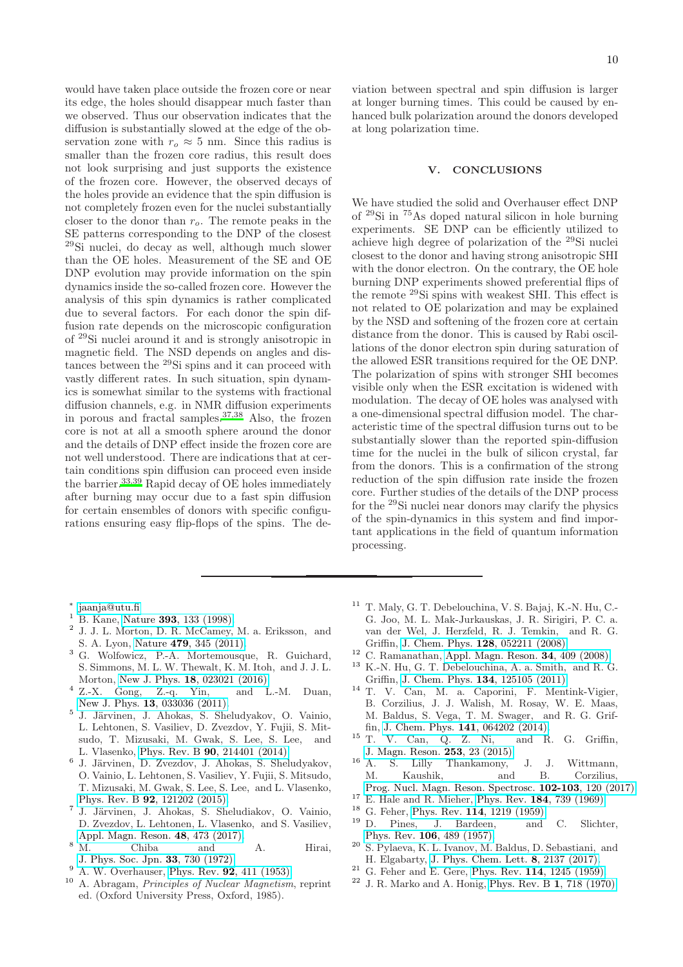would have taken place outside the frozen core or near its edge, the holes should disappear much faster than we observed. Thus our observation indicates that the diffusion is substantially slowed at the edge of the observation zone with  $r_o \approx 5$  nm. Since this radius is smaller than the frozen core radius, this result does not look surprising and just supports the existence of the frozen core. However, the observed decays of the holes provide an evidence that the spin diffusion is not completely frozen even for the nuclei substantially closer to the donor than  $r<sub>o</sub>$ . The remote peaks in the SE patterns corresponding to the DNP of the closest <sup>29</sup>Si nuclei, do decay as well, although much slower than the OE holes. Measurement of the SE and OE DNP evolution may provide information on the spin dynamics inside the so-called frozen core. However the analysis of this spin dynamics is rather complicated due to several factors. For each donor the spin diffusion rate depends on the microscopic configuration of <sup>29</sup>Si nuclei around it and is strongly anisotropic in magnetic field. The NSD depends on angles and distances between the <sup>29</sup>Si spins and it can proceed with vastly different rates. In such situation, spin dynamics is somewhat similar to the systems with fractional diffusion channels, e.g. in NMR diffusion experiments in porous and fractal samples.[37](#page-10-14)[,38](#page-10-15) Also, the frozen core is not at all a smooth sphere around the donor and the details of DNP effect inside the frozen core are not well understood. There are indications that at certain conditions spin diffusion can proceed even inside the barrier.[33](#page-10-10)[,39](#page-10-16) Rapid decay of OE holes immediately after burning may occur due to a fast spin diffusion for certain ensembles of donors with specific configurations ensuring easy flip-flops of the spins. The de-

viation between spectral and spin diffusion is larger at longer burning times. This could be caused by enhanced bulk polarization around the donors developed at long polarization time.

### V. CONCLUSIONS

We have studied the solid and Overhauser effect DNP of <sup>29</sup>Si in <sup>75</sup>As doped natural silicon in hole burning experiments. SE DNP can be efficiently utilized to achieve high degree of polarization of the <sup>29</sup>Si nuclei closest to the donor and having strong anisotropic SHI with the donor electron. On the contrary, the OE hole burning DNP experiments showed preferential flips of the remote <sup>29</sup>Si spins with weakest SHI. This effect is not related to OE polarization and may be explained by the NSD and softening of the frozen core at certain distance from the donor. This is caused by Rabi oscillations of the donor electron spin during saturation of the allowed ESR transitions required for the OE DNP. The polarization of spins with stronger SHI becomes visible only when the ESR excitation is widened with modulation. The decay of OE holes was analysed with a one-dimensional spectral diffusion model. The characteristic time of the spectral diffusion turns out to be substantially slower than the reported spin-diffusion time for the nuclei in the bulk of silicon crystal, far from the donors. This is a confirmation of the strong reduction of the spin diffusion rate inside the frozen core. Further studies of the details of the DNP process for the <sup>29</sup>Si nuclei near donors may clarify the physics of the spin-dynamics in this system and find important applications in the field of quantum information processing.

- ∗ [jaanja@utu.fi](mailto:jaanja@utu.fi)
- <span id="page-9-1"></span><span id="page-9-0"></span>B. Kane, Nature 393[, 133 \(1998\).](http://fy.chalmers.se/{~}delsing/QI/Kane-Nature-98.pdf)
- 2 J. J. L. Morton, D. R. McCamey, M. a. Eriksson, and S. A. Lyon, Nature 479[, 345 \(2011\).](http://dx.doi.org/10.1038/nature10681)
- <span id="page-9-2"></span><sup>3</sup> G. Wolfowicz, P.-A. Mortemousque, R. Guichard, S. Simmons, M. L. W. Thewalt, K. M. Itoh, and J. J. L. Morton, New J. Phys. 18[, 023021 \(2016\).](https://iopscience.iop.org/article/10.1088/1367-2630/18/2/023021)
- <span id="page-9-3"></span><sup>4</sup> Z.-X. Gong, Z.-q. Yin, and L.-M. Duan, New J. Phys. 13[, 033036 \(2011\).](http://dx.doi.org/10.1088/1367-2630/13/3/033036)
- <span id="page-9-4"></span>5 J. Järvinen, J. Ahokas, S. Sheludyakov, O. Vainio, L. Lehtonen, S. Vasiliev, D. Zvezdov, Y. Fujii, S. Mitsudo, T. Mizusaki, M. Gwak, S. Lee, S. Lee, and L. Vlasenko, Phys. Rev. B 90[, 214401 \(2014\).](http://journals.aps.org/prb/abstract/10.1103/PhysRevB.90.214401)
- <span id="page-9-13"></span>6 J. Järvinen, D. Zvezdov, J. Ahokas, S. Sheludyakov, O. Vainio, L. Lehtonen, S. Vasiliev, Y. Fujii, S. Mitsudo, T. Mizusaki, M. Gwak, S. Lee, S. Lee, and L. Vlasenko, Phys. Rev. B 92[, 121202 \(2015\).](http://dx.doi.org/10.1103/PhysRevB.92.121202)
- <span id="page-9-5"></span>7 J. Järvinen, J. Ahokas, S. Sheludiakov, O. Vainio, D. Zvezdov, L. Lehtonen, L. Vlasenko, and S. Vasiliev,
- <span id="page-9-6"></span>[Appl. Magn. Reson.](http://dx.doi.org/ 10.1007/s00723-017-0875-z)  $48$ ,  $473$  (2017).<br><sup>8</sup> M Chiba and <sup>8</sup> M. Chiba and A. Hirai, [J. Phys. Soc. Jpn.](http://dx.doi.org/http://dx.doi.org/10.1143/JPSJ.33.730) 33, 730 (1972).
- <span id="page-9-7"></span><sup>9</sup> A. W. Overhauser, Phys. Rev. **92**[, 411 \(1953\).](https://link.aps.org/doi/10.1103/PhysRev.92.411)
- <span id="page-9-8"></span>A. Abragam, Principles of Nuclear Magnetism, reprint ed. (Oxford University Press, Oxford, 1985).
- <span id="page-9-9"></span> $11$  T. Maly, G. T. Debelouchina, V. S. Bajaj, K.-N. Hu, C.-G. Joo, M. L. Mak-Jurkauskas, J. R. Sirigiri, P. C. a. van der Wel, J. Herzfeld, R. J. Temkin, and R. G. Griffin, J. Chem. Phys. 128[, 052211 \(2008\).](http://dx.doi.org/ 10.1063/1.2833582)
- $12$  C. Ramanathan, [Appl. Magn. Reson.](http://dx.doi.org/10.1007/s00723-008-0123-7)  $\bf 34,$   $409$  (2008).
- <sup>13</sup> K.-N. Hu, G. T. Debelouchina, A. a. Smith, and R. G. Griffin, J. Chem. Phys. 134[, 125105 \(2011\).](http://dx.doi.org/10.1063/1.3564920)
- <span id="page-9-19"></span><sup>14</sup> T. V. Can, M. a. Caporini, F. Mentink-Vigier, B. Corzilius, J. J. Walish, M. Rosay, W. E. Maas, M. Baldus, S. Vega, T. M. Swager, and R. G. Griffin, J. Chem. Phys. 141[, 064202 \(2014\).](http://dx.doi.org/10.1063/1.4891866)
- <span id="page-9-15"></span> $15$  T. V. Can, Q. Z. Ni, and R. G. Griffin, [J. Magn. Reson.](http://dx.doi.org/10.1016/j.jmr.2015.02.005) 253, 23 (2015).
- <span id="page-9-10"></span> $16$  A. S. Lilly Thankamony, J. J. Wittmann, M. Kaushik, and B. Corzilius, [Prog. Nucl. Magn. Reson. Spectrosc.](http://dx.doi.org/10.1016/j.pnmrs.2017.06.002) 102-103, 120 (2017).
- <sup>17</sup> E. Hale and R. Mieher, Phys. Rev. 184[, 739 \(1969\).](http://prola.aps.org/abstract/PR/v184/i3/p739{_}1)
- <span id="page-9-11"></span>
- <span id="page-9-12"></span><sup>18</sup> G. Feher, Phys. Rev. **114**[, 1219 \(1959\).](http://dx.doi.org/10.1103/PhysRev.114.1219)
- <span id="page-9-14"></span>D. Pines, J. Bardeen, and C. Slichter, Phys. Rev. 106[, 489 \(1957\).](http://prola.aps.org/abstract/PR/v106/i3/p489{_}1)
- <span id="page-9-16"></span><sup>20</sup> S. Pylaeva, K. L. Ivanov, M. Baldus, D. Sebastiani, and H. Elgabarty, [J. Phys. Chem. Lett.](http://dx.doi.org/ 10.1021/acs.jpclett.7b00561) 8, 2137 (2017).
- <span id="page-9-17"></span><sup>21</sup> G. Feher and E. Gere, Phys. Rev. 114[, 1245 \(1959\).](http://prola.aps.org/abstract/PR/v114/i5/p1245{_}1)
- <span id="page-9-18"></span> $22$  J. R. Marko and A. Honig, [Phys. Rev. B](http://prb.aps.org/abstract/PRB/v1/i2/p718{_}1) 1, 718 (1970).